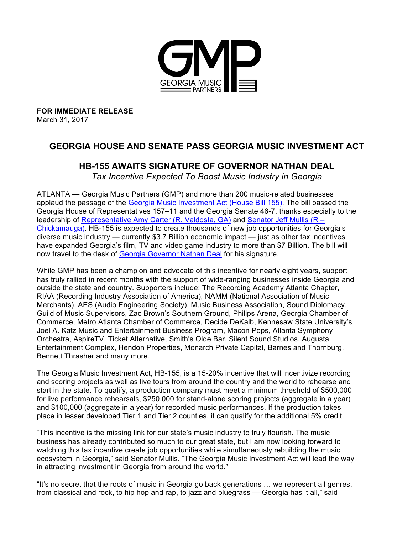

**FOR IMMEDIATE RELEASE** March 31, 2017

## **GEORGIA HOUSE AND SENATE PASS GEORGIA MUSIC INVESTMENT ACT**

## **HB-155 AWAITS SIGNATURE OF GOVERNOR NATHAN DEAL**

*Tax Incentive Expected To Boost Music Industry in Georgia*

ATLANTA — Georgia Music Partners (GMP) and more than 200 music-related businesses applaud the passage of the [Georgia Music Investment Act \(House Bill 155\)](http://georgiamusicpartners.org/georgia-music-day-what-now-hb155-georgia-music-investment-act/). The bill passed the Georgia House of Representatives 157–11 and the Georgia Senate 46-7, thanks especially to the leadership of [Representative Amy Carter \(R. Valdosta, GA\)](http://www.house.ga.gov/representatives/en-US/member.aspx?Member=76&Session=24) and [Senator Jeff Mullis \(R –](http://www.jeffmullis.com/) [Chickamauga\)](http://www.jeffmullis.com/). HB-155 is expected to create thousands of new job opportunities for Georgia's diverse music industry — currently \$3.7 Billion economic impact — just as other tax incentives have expanded Georgia's film, TV and video game industry to more than \$7 Billion. The bill will now travel to the desk of [Georgia Governor Nathan Deal](https://gov.georgia.gov/) for his signature.

While GMP has been a champion and advocate of this incentive for nearly eight years, support has truly rallied in recent months with the support of wide-ranging businesses inside Georgia and outside the state and country. Supporters include: The Recording Academy Atlanta Chapter, RIAA (Recording Industry Association of America), NAMM (National Association of Music Merchants), AES (Audio Engineering Society), Music Business Association, Sound Diplomacy, Guild of Music Supervisors, Zac Brown's Southern Ground, Philips Arena, Georgia Chamber of Commerce, Metro Atlanta Chamber of Commerce, Decide DeKalb, Kennesaw State University's Joel A. Katz Music and Entertainment Business Program, Macon Pops, Atlanta Symphony Orchestra, AspireTV, Ticket Alternative, Smith's Olde Bar, Silent Sound Studios, Augusta Entertainment Complex, Hendon Properties, Monarch Private Capital, Barnes and Thornburg, Bennett Thrasher and many more.

The Georgia Music Investment Act, HB-155, is a 15-20% incentive that will incentivize recording and scoring projects as well as live tours from around the country and the world to rehearse and start in the state. To qualify, a production company must meet a minimum threshold of \$500,000 for live performance rehearsals, \$250,000 for stand-alone scoring projects (aggregate in a year) and \$100,000 (aggregate in a year) for recorded music performances. If the production takes place in lesser developed Tier 1 and Tier 2 counties, it can qualify for the additional 5% credit.

"This incentive is the missing link for our state's music industry to truly flourish. The music business has already contributed so much to our great state, but I am now looking forward to watching this tax incentive create job opportunities while simultaneously rebuilding the music ecosystem in Georgia," said Senator Mullis. "The Georgia Music Investment Act will lead the way in attracting investment in Georgia from around the world."

"It's no secret that the roots of music in Georgia go back generations … we represent all genres, from classical and rock, to hip hop and rap, to jazz and bluegrass — Georgia has it all," said